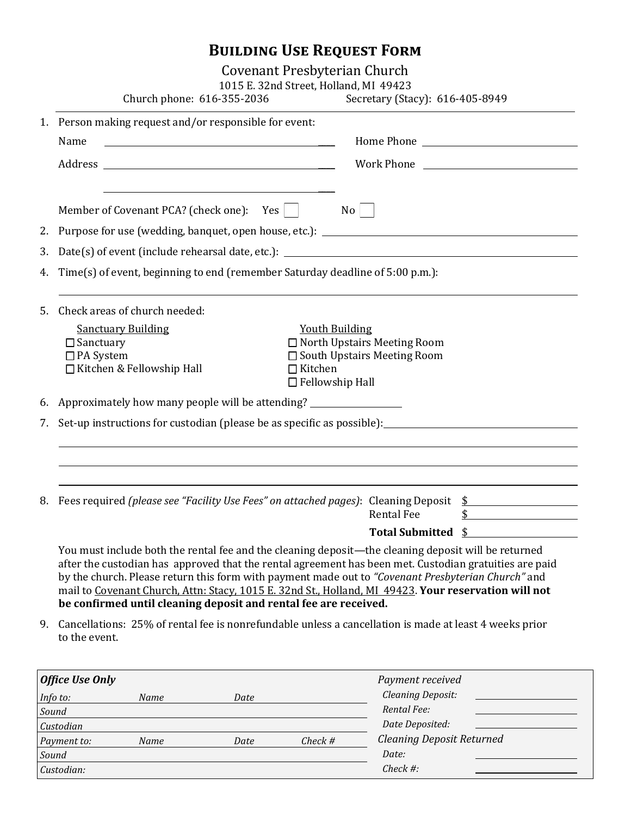# **Building Use Request Form**

Covenant Presbyterian Church

|    | 1015 E. 32nd Street, Holland, MI 49423<br>Church phone: 616-355-2036<br>Secretary (Stacy): 616-405-8949                                                                                                                                                                                                                                                                                                                                                                                         |  |                    |  |  |  |  |
|----|-------------------------------------------------------------------------------------------------------------------------------------------------------------------------------------------------------------------------------------------------------------------------------------------------------------------------------------------------------------------------------------------------------------------------------------------------------------------------------------------------|--|--------------------|--|--|--|--|
|    | 1. Person making request and/or responsible for event:                                                                                                                                                                                                                                                                                                                                                                                                                                          |  |                    |  |  |  |  |
|    | Name<br><u> 1989 - Johann Barbara, martin amerikan basar dan basa dan basa dan basa dalam basa dalam basa dalam basa dala</u>                                                                                                                                                                                                                                                                                                                                                                   |  |                    |  |  |  |  |
|    |                                                                                                                                                                                                                                                                                                                                                                                                                                                                                                 |  |                    |  |  |  |  |
|    | Member of Covenant PCA? (check one): Yes<br>No                                                                                                                                                                                                                                                                                                                                                                                                                                                  |  |                    |  |  |  |  |
|    |                                                                                                                                                                                                                                                                                                                                                                                                                                                                                                 |  |                    |  |  |  |  |
| 3. |                                                                                                                                                                                                                                                                                                                                                                                                                                                                                                 |  |                    |  |  |  |  |
| 4. | Time(s) of event, beginning to end (remember Saturday deadline of 5:00 p.m.):                                                                                                                                                                                                                                                                                                                                                                                                                   |  |                    |  |  |  |  |
| 5. | Check areas of church needed:                                                                                                                                                                                                                                                                                                                                                                                                                                                                   |  |                    |  |  |  |  |
|    | <b>Sanctuary Building</b><br><b>Youth Building</b><br>□ North Upstairs Meeting Room<br>$\Box$ Sanctuary<br>$\Box$ PA System<br>□ South Upstairs Meeting Room<br>□ Kitchen & Fellowship Hall<br>$\Box$ Kitchen<br>$\Box$ Fellowship Hall                                                                                                                                                                                                                                                         |  |                    |  |  |  |  |
|    | 6. Approximately how many people will be attending? ____________________________                                                                                                                                                                                                                                                                                                                                                                                                                |  |                    |  |  |  |  |
| 7. | Set-up instructions for custodian (please be as specific as possible): <u>the set of the set of the set of the set</u>                                                                                                                                                                                                                                                                                                                                                                          |  |                    |  |  |  |  |
|    |                                                                                                                                                                                                                                                                                                                                                                                                                                                                                                 |  |                    |  |  |  |  |
|    |                                                                                                                                                                                                                                                                                                                                                                                                                                                                                                 |  |                    |  |  |  |  |
|    | 8. Fees required (please see "Facility Use Fees" on attached pages): Cleaning Deposit \$                                                                                                                                                                                                                                                                                                                                                                                                        |  |                    |  |  |  |  |
|    | <b>Rental Fee</b>                                                                                                                                                                                                                                                                                                                                                                                                                                                                               |  | $\updownarrow$     |  |  |  |  |
|    |                                                                                                                                                                                                                                                                                                                                                                                                                                                                                                 |  | Total Submitted \$ |  |  |  |  |
|    | You must include both the rental fee and the cleaning deposit—the cleaning deposit will be returned<br>after the custodian has approved that the rental agreement has been met. Custodian gratuities are paid<br>by the church. Please return this form with payment made out to "Covenant Presbyterian Church" and<br>mail to Covenant Church, Attn: Stacy, 1015 E. 32nd St., Holland, MI 49423. Your reservation will not<br>be confirmed until cleaning deposit and rental fee are received. |  |                    |  |  |  |  |
| 9. | Cancellations: 25% of rental fee is nonrefundable unless a cancellation is made at least 4 weeks prior<br>to the event.                                                                                                                                                                                                                                                                                                                                                                         |  |                    |  |  |  |  |

| <b>Office Use Only</b> |      |      |             | Payment received                 |
|------------------------|------|------|-------------|----------------------------------|
| Info to:               | Name | Date |             | <b>Cleaning Deposit:</b>         |
| Sound                  |      |      | Rental Fee: |                                  |
| Custodian              |      |      |             | Date Deposited:                  |
| Payment to:            | Name | Date | $Check$ #   | <b>Cleaning Deposit Returned</b> |
| Sound                  |      |      |             | Date:                            |
| Custodian:             |      |      |             | $Check \#:$                      |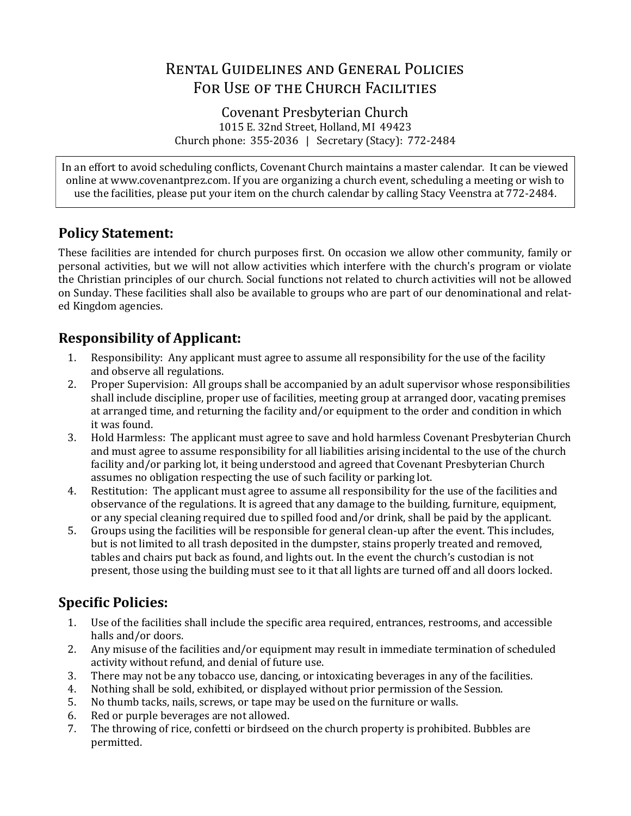# Rental Guidelines and General Policies FOR USE OF THE CHURCH FACILITIES

Covenant Presbyterian Church 1015 E. 32nd Street, Holland, MI 49423 Church phone: 355-2036 | Secretary (Stacy): 772-2484

In an effort to avoid scheduling conflicts, Covenant Church maintains a master calendar. It can be viewed online at www.covenantprez.com. If you are organizing a church event, scheduling a meeting or wish to use the facilities, please put your item on the church calendar by calling Stacy Veenstra at 772-2484.

## **Policy Statement:**

These facilities are intended for church purposes first. On occasion we allow other community, family or personal activities, but we will not allow activities which interfere with the church's program or violate the Christian principles of our church. Social functions not related to church activities will not be allowed on Sunday. These facilities shall also be available to groups who are part of our denominational and related Kingdom agencies.

# **Responsibility of Applicant:**

- 1. Responsibility: Any applicant must agree to assume all responsibility for the use of the facility and observe all regulations.
- 2. Proper Supervision: All groups shall be accompanied by an adult supervisor whose responsibilities shall include discipline, proper use of facilities, meeting group at arranged door, vacating premises at arranged time, and returning the facility and/or equipment to the order and condition in which it was found.
- 3. Hold Harmless: The applicant must agree to save and hold harmless Covenant Presbyterian Church and must agree to assume responsibility for all liabilities arising incidental to the use of the church facility and/or parking lot, it being understood and agreed that Covenant Presbyterian Church assumes no obligation respecting the use of such facility or parking lot.
- 4. Restitution: The applicant must agree to assume all responsibility for the use of the facilities and observance of the regulations. It is agreed that any damage to the building, furniture, equipment, or any special cleaning required due to spilled food and/or drink, shall be paid by the applicant.
- 5. Groups using the facilities will be responsible for general clean-up after the event. This includes, but is not limited to all trash deposited in the dumpster, stains properly treated and removed, tables and chairs put back as found, and lights out. In the event the church's custodian is not present, those using the building must see to it that all lights are turned off and all doors locked.

# **Specific Policies:**

- 1. Use of the facilities shall include the specific area required, entrances, restrooms, and accessible halls and/or doors.
- 2. Any misuse of the facilities and/or equipment may result in immediate termination of scheduled activity without refund, and denial of future use.
- 3. There may not be any tobacco use, dancing, or intoxicating beverages in any of the facilities.
- 4. Nothing shall be sold, exhibited, or displayed without prior permission of the Session.
- 5. No thumb tacks, nails, screws, or tape may be used on the furniture or walls.
- 6. Red or purple beverages are not allowed.
- 7. The throwing of rice, confetti or birdseed on the church property is prohibited. Bubbles are permitted.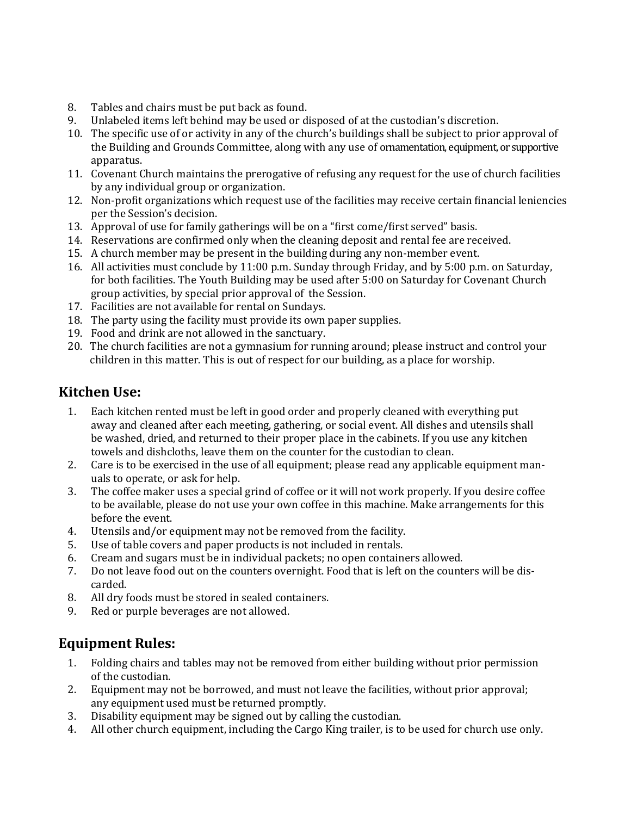- 8. Tables and chairs must be put back as found.
- 9. Unlabeled items left behind may be used or disposed of at the custodian's discretion.
- 10. The specific use of or activity in any of the church's buildings shall be subject to prior approval of the Building and Grounds Committee, along with any use of ornamentation, equipment, or supportive apparatus.
- 11. Covenant Church maintains the prerogative of refusing any request for the use of church facilities by any individual group or organization.
- 12. Non-profit organizations which request use of the facilities may receive certain financial leniencies per the Session's decision.
- 13. Approval of use for family gatherings will be on a "first come/first served" basis.
- 14. Reservations are confirmed only when the cleaning deposit and rental fee are received.
- 15. A church member may be present in the building during any non-member event.
- 16. All activities must conclude by 11:00 p.m. Sunday through Friday, and by 5:00 p.m. on Saturday, for both facilities. The Youth Building may be used after 5:00 on Saturday for Covenant Church group activities, by special prior approval of the Session.
- 17. Facilities are not available for rental on Sundays.
- 18. The party using the facility must provide its own paper supplies.
- 19. Food and drink are not allowed in the sanctuary.
- 20. The church facilities are not a gymnasium for running around; please instruct and control your children in this matter. This is out of respect for our building, as a place for worship.

#### **Kitchen Use:**

- 1. Each kitchen rented must be left in good order and properly cleaned with everything put away and cleaned after each meeting, gathering, or social event. All dishes and utensils shall be washed, dried, and returned to their proper place in the cabinets. If you use any kitchen towels and dishcloths, leave them on the counter for the custodian to clean.
- 2. Care is to be exercised in the use of all equipment; please read any applicable equipment manuals to operate, or ask for help.
- 3. The coffee maker uses a special grind of coffee or it will not work properly. If you desire coffee to be available, please do not use your own coffee in this machine. Make arrangements for this before the event.
- 4. Utensils and/or equipment may not be removed from the facility.
- 5. Use of table covers and paper products is not included in rentals.
- 6. Cream and sugars must be in individual packets; no open containers allowed.
- 7. Do not leave food out on the counters overnight. Food that is left on the counters will be discarded.
- 8. All dry foods must be stored in sealed containers.
- 9. Red or purple beverages are not allowed.

## **Equipment Rules:**

- 1. Folding chairs and tables may not be removed from either building without prior permission of the custodian.
- 2. Equipment may not be borrowed, and must not leave the facilities, without prior approval; any equipment used must be returned promptly.
- 3. Disability equipment may be signed out by calling the custodian.
- 4. All other church equipment, including the Cargo King trailer, is to be used for church use only.